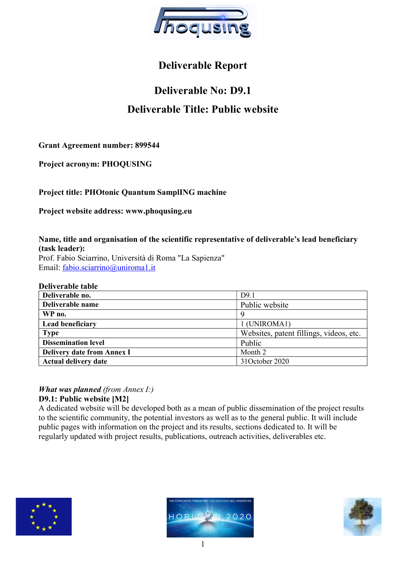

# Deliverable Report

# Deliverable No: D9.1 Deliverable Title: Public website

Grant Agreement number: 899544

Project acronym: PHOQUSING

Project title: PHOtonic Quantum SamplING machine

Project website address: www.phoqusing.eu

Name, title and organisation of the scientific representative of deliverable's lead beneficiary (task leader): Prof. Fabio Sciarrino, Università di Roma "La Sapienza" Email: fabio.sciarrino@uniroma1.it

#### Deliverable table

| Deliverable no.                   | D <sub>9.1</sub>                        |
|-----------------------------------|-----------------------------------------|
| Deliverable name                  | Public website                          |
| WP no.                            | 9                                       |
| Lead beneficiary                  | 1 (UNIROMA1)                            |
| <b>Type</b>                       | Websites, patent fillings, videos, etc. |
| <b>Dissemination level</b>        | Public                                  |
| <b>Delivery date from Annex I</b> | Month 2                                 |
| <b>Actual delivery date</b>       | 31October 2020                          |

# **What was planned** (from Annex  $I$ :)

# D9.1: Public website [M2]

A dedicated website will be developed both as a mean of public dissemination of the project results to the scientific community, the potential investors as well as to the general public. It will include public pages with information on the project and its results, sections dedicated to. It will be regularly updated with project results, publications, outreach activities, deliverables etc.





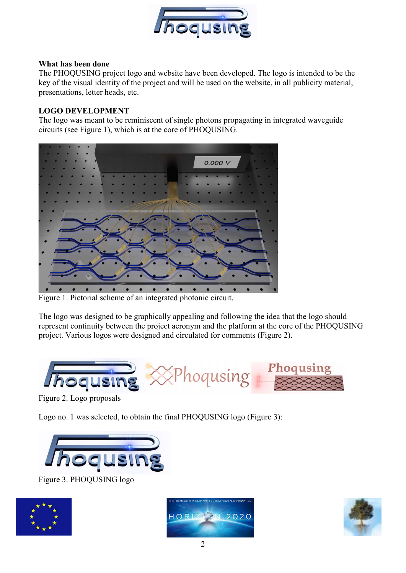

### What has been done

The PHOQUSING project logo and website have been developed. The logo is intended to be the key of the visual identity of the project and will be used on the website, in all publicity material, presentations, letter heads, etc.

# LOGO DEVELOPMENT

The logo was meant to be reminiscent of single photons propagating in integrated waveguide circuits (see Figure 1), which is at the core of PHOQUSING.



Figure 1. Pictorial scheme of an integrated photonic circuit.

The logo was designed to be graphically appealing and following the idea that the logo should represent continuity between the project acronym and the platform at the core of the PHOQUSING project. Various logos were designed and circulated for comments (Figure 2).



Figure 2. Logo proposals

Logo no. 1 was selected, to obtain the final PHOQUSING logo (Figure 3):



Figure 3. PHOQUSING logo





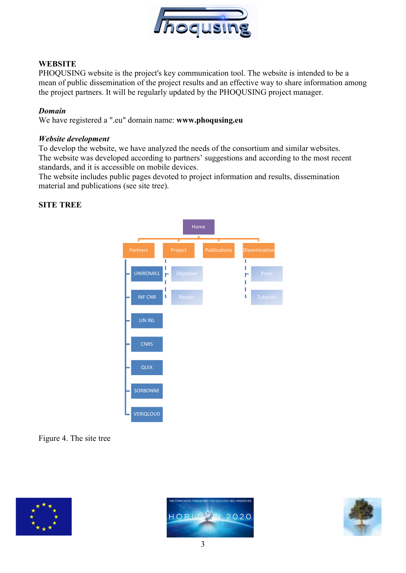

# **WEBSITE**

PHOQUSING website is the project's key communication tool. The website is intended to be a mean of public dissemination of the project results and an effective way to share information among the project partners. It will be regularly updated by the PHOQUSING project manager.

### Domain

We have registered a ".eu" domain name: www.phoqusing.eu

#### Website development

To develop the website, we have analyzed the needs of the consortium and similar websites. The website was developed according to partners' suggestions and according to the most recent standards, and it is accessible on mobile devices.

The website includes public pages devoted to project information and results, dissemination material and publications (see site tree).

### SITE TREE



# Figure 4. The site tree





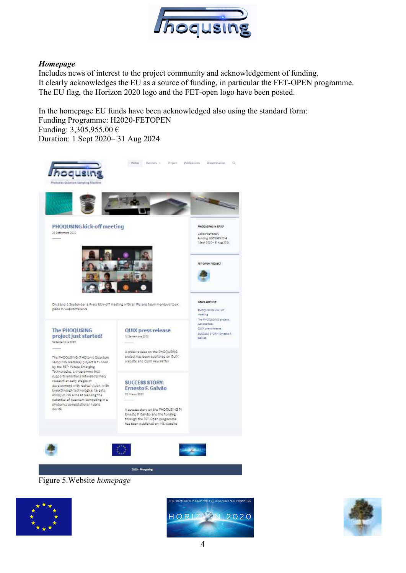

# Homepage

Includes news of interest to the project community and acknowledgement of funding. It clearly acknowledges the EU as a source of funding, in particular the FET-OPEN programme. The EU flag, the Horizon 2020 logo and the FET-open logo have been posted.

In the homepage EU funds have been acknowledged also using the standard form: Funding Programme: H2020-FETOPEN Funding: 3,305,955.00 € Duration: 1 Sept 2020– 31 Aug 2024



Figure 5.Website homepage





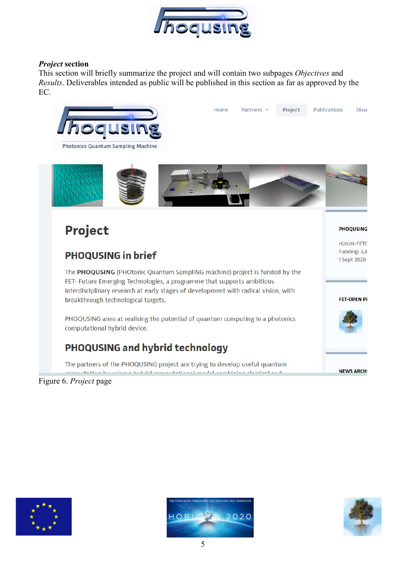

# Project section

This section will briefly summarize the project and will contain two subpages Objectives and Results. Deliverables intended as public will be published in this section as far as approved by the EC.







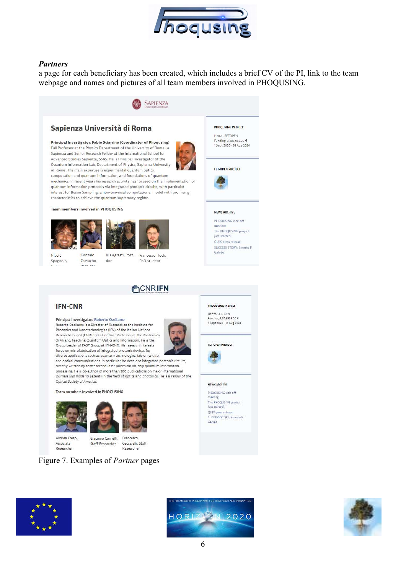

#### Partners

a page for each beneficiary has been created, which includes a brief CV of the PI, link to the team webpage and names and pictures of all team members involved in PHOQUSING.



#### Sapienza Università di Roma

Principal Investigator: Fabio Sciarrino (Coordinator of Phoqusing) Full Professor at the Physics Department of the University of Rome La Sapienza and Senior Research Fellow at the International School for Advanced Studies Sapienza, SSAS. He is Principal Investigator of the Quantum Information Lab, Department of Physics, Sapienza University of Rome . His main expertise is experimental quantum optics,



computation and quantum information, and foundations of quantum mechanics. In recent years his research activity has focused on the implementation quantum information protocols via integrated photonic circuits, with particular interest for Boson Sampling, a non-universal computational model with promising characteristics to achieve the quantum supremacy regime.

#### Team members involved in PHOQUSING





Nicolè Gonzalo Spagnolo, Carvacho

Iris Agresti, Post- Francesco Hoch, PhD student



**MONRIFN** 

#### H2020-FETOPEN Funding: 3.305.955.00 € 1 Sept 2020-31 Aug 2024

**PHOOLISING IN BRIEF** 

FET-OPEN PROJECT



#### NEWS ARCHIVE

**PHOQUSING IN BRIEF** H2020-FETOPEN Funding: 3,305,955.00 €

1 Sept 2020- 31 Aug 2024

FET-OPEN PROJECT

NEWS ARCHIVE

Gallytin

PHOQUSING kick-off meeting The PHOOLISING project just started! OUIX press release SUCCESS STORY: Emesto F.

PHOOLISING kick-off meeting The PHOQUSING project just started! OUIX press release SUCCESS STORY: Ernesto E Galvão



#### Principal Investigator: Roberto Osellame

Roberto Osellame is a Director of Research at the Institute for Photonics and Nanotechnologies (IFN) of the Italian National<br>Research Council (CNR) and a Contract Professor of the Politecnico di Milano, teaching Quantum Optics and Information. He is the Group Leader of FAST Group at IFN-CNR. His research interests focus on microfabrication of integrated photonic devices for diverse applications such as quantum technologies, lab-on-a-chip,

 $doc$ 



and optical communications. In particular, he develops integrated photonic circuits, directly written by femtosecond laser pulses for on-chip quantum information processing. He is co-author of more than 200 publications on major international journals and holds 10 patents in the field of optics and photonics. He is a Fellow of the Optical Society of America.

#### Team members involved in PHOQUSING





Andrea Crespi. Associate Researcher

Giacomo Corrielli Francesco Ceccarelli, Staff Staff Researcher Researcher

## Figure 7. Examples of Partner pages